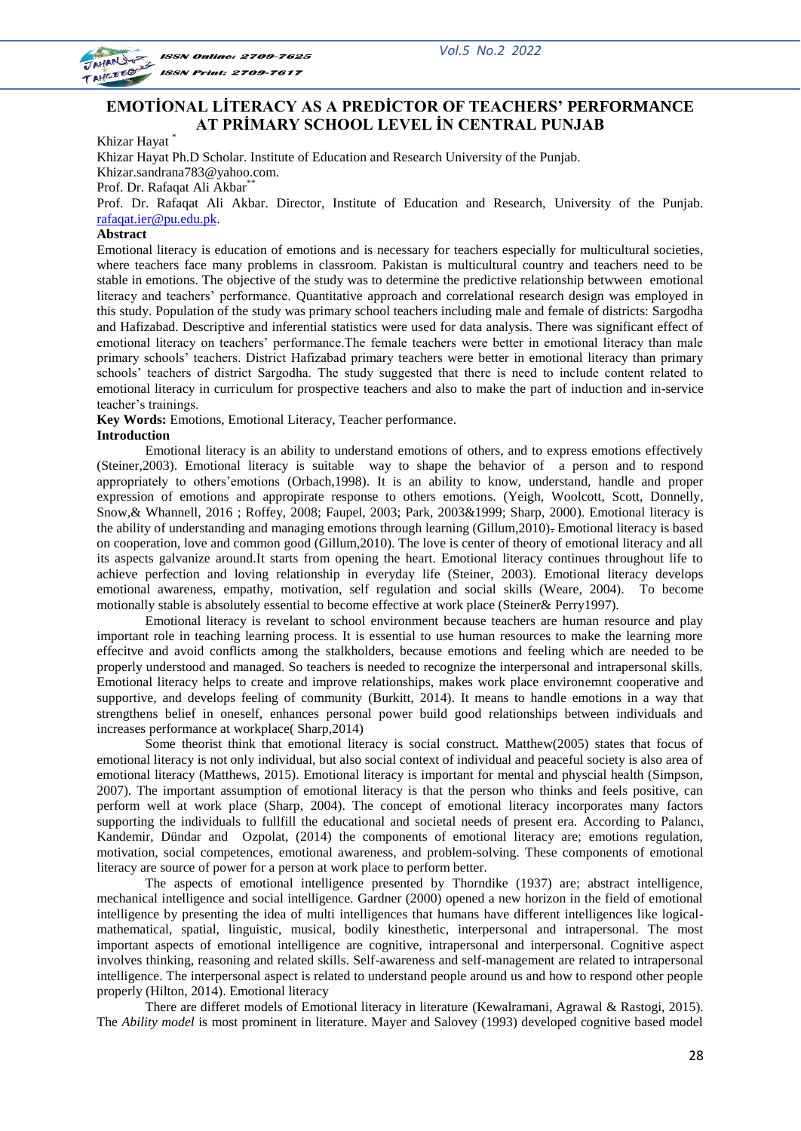

**ISSN Online: 2709-7625 ISSN Print: 2709-7617** 

# **EMOTİONAL LİTERACY AS A PREDİCTOR OF TEACHERS' PERFORMANCE AT PRİMARY SCHOOL LEVEL İN CENTRAL PUNJAB**

Khizar Hayat \*

Khizar Hayat Ph.D Scholar. Institute of Education and Research University of the Punjab. Khizar.sandrana783@yahoo.com. Prof. Dr. Rafaqat Ali Akbar<sup>\*\*</sup> Prof. Dr. Rafaqat Ali Akbar. Director, Institute of Education and Research, University of the Punjab.

[rafaqat.ier@pu.edu.pk.](mailto:rafaqat.ier@pu.edu.pk)

# **Abstract**

Emotional literacy is education of emotions and is necessary for teachers especially for multicultural societies, where teachers face many problems in classroom. Pakistan is multicultural country and teachers need to be stable in emotions. The objective of the study was to determine the predictive relationship betwween emotional literacy and teachers' performance. Quantitative approach and correlational research design was employed in this study. Population of the study was primary school teachers including male and female of districts: Sargodha and Hafizabad. Descriptive and inferential statistics were used for data analysis. There was significant effect of emotional literacy on teachers' performance.The female teachers were better in emotional literacy than male primary schools' teachers. District Hafizabad primary teachers were better in emotional literacy than primary schools' teachers of district Sargodha. The study suggested that there is need to include content related to emotional literacy in curriculum for prospective teachers and also to make the part of induction and in-service teacher's trainings.

**Key Words:** Emotions, Emotional Literacy, Teacher performance.

# **Introduction**

Emotional literacy is an ability to understand emotions of others, and to express emotions effectively (Steiner,2003). Emotional literacy is suitable way to shape the behavior of a person and to respond appropriately to others'emotions (Orbach,1998). It is an ability to know, understand, handle and proper expression of emotions and appropirate response to others emotions. (Yeigh, Woolcott, Scott, Donnelly, Snow,& Whannell, 2016 ; Roffey, 2008; Faupel, 2003; Park, 2003&1999; Sharp, 2000). Emotional literacy is the ability of understanding and managing emotions through learning (Gillum,2010). Emotional literacy is based on cooperation, love and common good (Gillum,2010). The love is center of theory of emotional literacy and all its aspects galvanize around.It starts from opening the heart. Emotional literacy continues throughout life to achieve perfection and loving relationship in everyday life (Steiner, 2003). Emotional literacy develops emotional awareness, empathy, motivation, self regulation and social skills (Weare, 2004). To become motionally stable is absolutely essential to become effective at work place (Steiner& Perry1997).

Emotional literacy is revelant to school environment because teachers are human resource and play important role in teaching learning process. It is essential to use human resources to make the learning more effecitve and avoid conflicts among the stalkholders, because emotions and feeling which are needed to be properly understood and managed. So teachers is needed to recognize the interpersonal and intrapersonal skills. Emotional literacy helps to create and improve relationships, makes work place environemnt cooperative and supportive, and develops feeling of community (Burkitt, 2014). It means to handle emotions in a way that strengthens belief in oneself, enhances personal power build good relationships between individuals and increases performance at workplace( Sharp,2014)

Some theorist think that emotional literacy is social construct. Matthew(2005) states that focus of emotional literacy is not only individual, but also social context of individual and peaceful society is also area of emotional literacy (Matthews, 2015). Emotional literacy is important for mental and physcial health (Simpson, 2007). The important assumption of emotional literacy is that the person who thinks and feels positive, can perform well at work place (Sharp, 2004). The concept of emotional literacy incorporates many factors supporting the individuals to fullfill the educational and societal needs of present era. According to Palancı, Kandemir, Dündar and Ozpolat, (2014) the components of emotional literacy are; emotions regulation, motivation, social competences, emotional awareness, and problem-solving. These components of emotional literacy are source of power for a person at work place to perform better.

The aspects of emotional intelligence presented by Thorndike (1937) are; abstract intelligence, mechanical intelligence and social intelligence. Gardner (2000) opened a new horizon in the field of emotional intelligence by presenting the idea of multi intelligences that humans have different intelligences like logicalmathematical, spatial, linguistic, musical, bodily kinesthetic, interpersonal and intrapersonal. The most important aspects of emotional intelligence are cognitive, intrapersonal and interpersonal. Cognitive aspect involves thinking, reasoning and related skills. Self-awareness and self-management are related to intrapersonal intelligence. The interpersonal aspect is related to understand people around us and how to respond other people properly (Hilton, 2014). Emotional literacy

There are differet models of Emotional literacy in literature (Kewalramani, Agrawal & Rastogi, 2015). The *Ability model* is most prominent in literature. Mayer and Salovey (1993) developed cognitive based model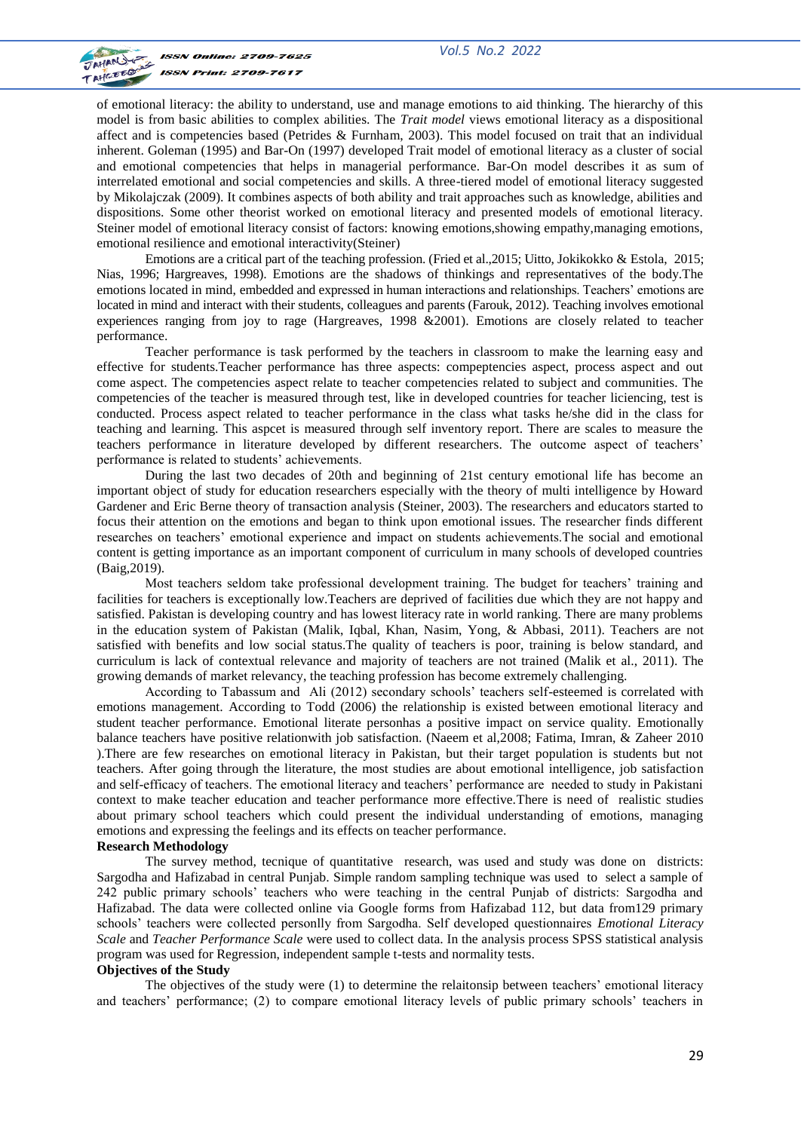



of emotional literacy: the ability to understand, use and manage emotions to aid thinking. The hierarchy of this model is from basic abilities to complex abilities. The *Trait model* views emotional literacy as a dispositional affect and is competencies based (Petrides & Furnham, 2003). This model focused on trait that an individual inherent. Goleman (1995) and Bar-On (1997) developed Trait model of emotional literacy as a cluster of social and emotional competencies that helps in managerial performance. Bar-On model describes it as sum of interrelated emotional and social competencies and skills. A three-tiered model of emotional literacy suggested by Mikolajczak (2009). It combines aspects of both ability and trait approaches such as knowledge, abilities and dispositions. Some other theorist worked on emotional literacy and presented models of emotional literacy. Steiner model of emotional literacy consist of factors: knowing emotions,showing empathy,managing emotions, emotional resilience and emotional interactivity(Steiner)

Emotions are a critical part of the teaching profession. (Fried et al.,2015; Uitto, Jokikokko & Estola, 2015; Nias, 1996; Hargreaves, 1998). Emotions are the shadows of thinkings and representatives of the body.The emotions located in mind, embedded and expressed in human interactions and relationships. Teachers' emotions are located in mind and interact with their students, colleagues and parents (Farouk, 2012). Teaching involves emotional experiences ranging from joy to rage (Hargreaves, 1998 &2001). Emotions are closely related to teacher performance.

Teacher performance is task performed by the teachers in classroom to make the learning easy and effective for students.Teacher performance has three aspects: compeptencies aspect, process aspect and out come aspect. The competencies aspect relate to teacher competencies related to subject and communities. The competencies of the teacher is measured through test, like in developed countries for teacher liciencing, test is conducted. Process aspect related to teacher performance in the class what tasks he/she did in the class for teaching and learning. This aspcet is measured through self inventory report. There are scales to measure the teachers performance in literature developed by different researchers. The outcome aspect of teachers' performance is related to students' achievements.

During the last two decades of 20th and beginning of 21st century emotional life has become an important object of study for education researchers especially with the theory of multi intelligence by Howard Gardener and Eric Berne theory of transaction analysis (Steiner, 2003). The researchers and educators started to focus their attention on the emotions and began to think upon emotional issues. The researcher finds different researches on teachers' emotional experience and impact on students achievements.The social and emotional content is getting importance as an important component of curriculum in many schools of developed countries (Baig,2019).

Most teachers seldom take professional development training. The budget for teachers' training and facilities for teachers is exceptionally low.Teachers are deprived of facilities due which they are not happy and satisfied. Pakistan is developing country and has lowest literacy rate in world ranking. There are many problems in the education system of Pakistan (Malik, Iqbal, Khan, Nasim, Yong, & Abbasi, 2011). Teachers are not satisfied with benefits and low social status.The quality of teachers is poor, training is below standard, and curriculum is lack of contextual relevance and majority of teachers are not trained (Malik et al., 2011). The growing demands of market relevancy, the teaching profession has become extremely challenging.

According to Tabassum and Ali (2012) secondary schools' teachers self-esteemed is correlated with emotions management. According to Todd (2006) the relationship is existed between emotional literacy and student teacher performance. Emotional literate personhas a positive impact on service quality. Emotionally balance teachers have positive relationwith job satisfaction. (Naeem et al,2008; Fatima, Imran, & Zaheer 2010 ).There are few researches on emotional literacy in Pakistan, but their target population is students but not teachers. After going through the literature, the most studies are about emotional intelligence, job satisfaction and self-efficacy of teachers. The emotional literacy and teachers' performance are needed to study in Pakistani context to make teacher education and teacher performance more effective.There is need of realistic studies about primary school teachers which could present the individual understanding of emotions, managing emotions and expressing the feelings and its effects on teacher performance.

# **Research Methodology**

The survey method, tecnique of quantitative research, was used and study was done on districts: Sargodha and Hafizabad in central Punjab. Simple random sampling technique was used to select a sample of 242 public primary schools' teachers who were teaching in the central Punjab of districts: Sargodha and Hafizabad. The data were collected online via Google forms from Hafizabad 112, but data from129 primary schools' teachers were collected personlly from Sargodha. Self developed questionnaires *Emotional Literacy Scale* and *Teacher Performance Scale* were used to collect data. In the analysis process SPSS statistical analysis program was used for Regression, independent sample t-tests and normality tests.

#### **Objectives of the Study**

The objectives of the study were (1) to determine the relaitonsip between teachers' emotional literacy and teachers' performance; (2) to compare emotional literacy levels of public primary schools' teachers in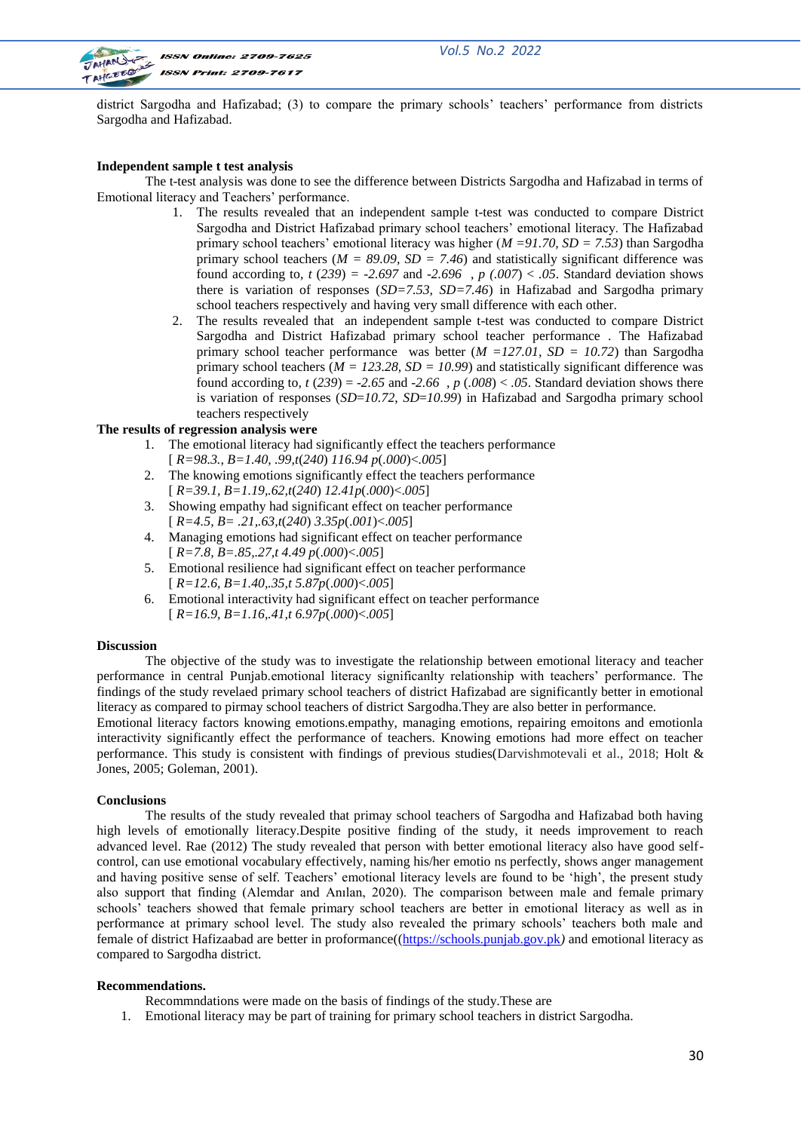

**ISSN Online: 2709-7625 ISSN Print: 2709-7617** 

district Sargodha and Hafizabad; (3) to compare the primary schools' teachers' performance from districts Sargodha and Hafizabad.

# **Independent sample t test analysis**

The t-test analysis was done to see the difference between Districts Sargodha and Hafizabad in terms of Emotional literacy and Teachers' performance.

- 1. The results revealed that an independent sample t-test was conducted to compare District Sargodha and District Hafizabad primary school teachers' emotional literacy. The Hafizabad primary school teachers' emotional literacy was higher (*M =91.70, SD = 7.53*) than Sargodha primary school teachers ( $M = 89.09$ ,  $SD = 7.46$ ) and statistically significant difference was found according to,  $t(239) = -2.697$  and  $-2.696$ ,  $p(0.007) < .05$ . Standard deviation shows there is variation of responses (*SD=7.53, SD=7.46*) in Hafizabad and Sargodha primary school teachers respectively and having very small difference with each other.
- 2. The results revealed that an independent sample t-test was conducted to compare District Sargodha and District Hafizabad primary school teacher performance . The Hafizabad primary school teacher performance was better (*M =127.01, SD = 10.72*) than Sargodha primary school teachers  $(M = 123.28, SD = 10.99)$  and statistically significant difference was found according to,  $t(239) = -2.65$  and  $-2.66$ ,  $p(.008) < .05$ . Standard deviation shows there is variation of responses (*SD*=*10.72*, *SD*=*10.99*) in Hafizabad and Sargodha primary school teachers respectively

# **The results of regression analysis were**

- 1. The emotional literacy had significantly effect the teachers performance [ *R=98.3., B=1.40, .99,t*(*240*) *116.94 p*(*.000*)<*.005*]
- 2. The knowing emotions significantly effect the teachers performance [ *R=39.1, B=1.19,.62,t*(*240*) *12.41p*(.*000*)<.*005*]
- 3. Showing empathy had significant effect on teacher performance [ *R=4.5, B= .21,.63,t*(*240*) *3.35p*(.*001*)<.*005*]
- 4. Managing emotions had significant effect on teacher performance [ *R=7.8, B=.85,.27,t 4.49 p*(.*000*)<.*005*]
- 5. Emotional resilience had significant effect on teacher performance [ *R=12.6, B=1.40,.35,t 5.87p*(.*000*)<.*005*]
- 6. Emotional interactivity had significant effect on teacher performance [ *R=16.9, B=1.16,.41,t 6.97p*(.*000*)<.*005*]

## **Discussion**

The objective of the study was to investigate the relationship between emotional literacy and teacher performance in central Punjab.emotional literacy significanlty relationship with teachers' performance. The findings of the study revelaed primary school teachers of district Hafizabad are significantly better in emotional literacy as compared to pirmay school teachers of district Sargodha.They are also better in performance.

Emotional literacy factors knowing emotions.empathy, managing emotions, repairing emoitons and emotionla interactivity significantly effect the performance of teachers. Knowing emotions had more effect on teacher performance. This study is consistent with findings of previous studies(Darvishmotevali et al., 2018; Holt & Jones, 2005; Goleman, 2001).

# **Conclusions**

The results of the study revealed that primay school teachers of Sargodha and Hafizabad both having high levels of emotionally literacy.Despite positive finding of the study, it needs improvement to reach advanced level. Rae (2012) The study revealed that person with better emotional literacy also have good selfcontrol, can use emotional vocabulary effectively, naming his/her emotio ns perfectly, shows anger management and having positive sense of self. Teachers' emotional literacy levels are found to be 'high', the present study also support that finding (Alemdar and Anılan, 2020). The comparison between male and female primary schools' teachers showed that female primary school teachers are better in emotional literacy as well as in performance at primary school level. The study also revealed the primary schools' teachers both male and female of district Hafizaabad are better in proformance([\(https://schools.punjab.gov.pk](https://schools.punjab.gov.pk/)*)* and emotional literacy as compared to Sargodha district.

#### **Recommendations.**

- Recommndations were made on the basis of findings of the study.These are
- 1. Emotional literacy may be part of training for primary school teachers in district Sargodha.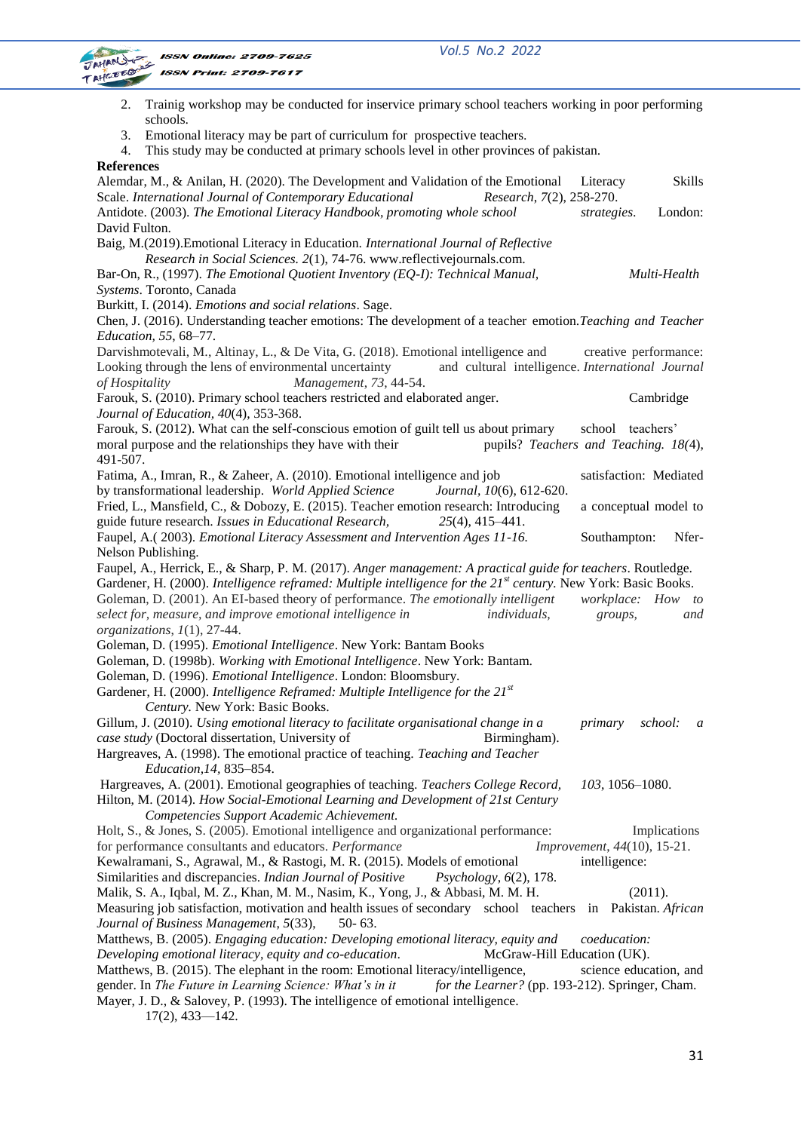*Vol.5 No.2 2022*



| Trainig workshop may be conducted for inservice primary school teachers working in poor performing<br>2.                                                |                             |
|---------------------------------------------------------------------------------------------------------------------------------------------------------|-----------------------------|
| schools.                                                                                                                                                |                             |
| Emotional literacy may be part of curriculum for prospective teachers.<br>3.                                                                            |                             |
| This study may be conducted at primary schools level in other provinces of pakistan.<br>4.                                                              |                             |
| <b>References</b>                                                                                                                                       |                             |
| Alemdar, M., & Anilan, H. (2020). The Development and Validation of the Emotional                                                                       | Skills<br>Literacy          |
| Scale. International Journal of Contemporary Educational<br>Research, 7(2), 258-270.                                                                    |                             |
| Antidote. (2003). The Emotional Literacy Handbook, promoting whole school                                                                               | London:<br>strategies.      |
| David Fulton.                                                                                                                                           |                             |
| Baig, M.(2019). Emotional Literacy in Education. International Journal of Reflective                                                                    |                             |
| Research in Social Sciences. 2(1), 74-76. www.reflectivejournals.com.<br>Bar-On, R., (1997). The Emotional Quotient Inventory (EQ-I): Technical Manual, | Multi-Health                |
| Systems. Toronto, Canada                                                                                                                                |                             |
| Burkitt, I. (2014). Emotions and social relations. Sage.                                                                                                |                             |
| Chen, J. (2016). Understanding teacher emotions: The development of a teacher emotion. Teaching and Teacher                                             |                             |
| Education, 55, 68-77.                                                                                                                                   |                             |
| Darvishmotevali, M., Altinay, L., & De Vita, G. (2018). Emotional intelligence and                                                                      | creative performance:       |
| Looking through the lens of environmental uncertainty<br>and cultural intelligence. International Journal                                               |                             |
| Management, 73, 44-54.<br>of Hospitality                                                                                                                |                             |
| Farouk, S. (2010). Primary school teachers restricted and elaborated anger.                                                                             | Cambridge                   |
| Journal of Education, 40(4), 353-368.                                                                                                                   |                             |
| Farouk, S. (2012). What can the self-conscious emotion of guilt tell us about primary                                                                   | school teachers'            |
| pupils? Teachers and Teaching. 18(4),<br>moral purpose and the relationships they have with their                                                       |                             |
| 491-507.                                                                                                                                                |                             |
| Fatima, A., Imran, R., & Zaheer, A. (2010). Emotional intelligence and job                                                                              | satisfaction: Mediated      |
| by transformational leadership. World Applied Science<br>Journal, 10(6), 612-620.                                                                       |                             |
| Fried, L., Mansfield, C., & Dobozy, E. (2015). Teacher emotion research: Introducing                                                                    | a conceptual model to       |
| guide future research. Issues in Educational Research,<br>$25(4)$ , 415-441.                                                                            |                             |
| Faupel, A.(2003). Emotional Literacy Assessment and Intervention Ages 11-16.                                                                            | Southampton:<br>Nfer-       |
| Nelson Publishing.                                                                                                                                      |                             |
| Faupel, A., Herrick, E., & Sharp, P. M. (2017). Anger management: A practical guide for teachers. Routledge.                                            |                             |
| Gardener, H. (2000). Intelligence reframed: Multiple intelligence for the 21 <sup>st</sup> century. New York: Basic Books.                              |                             |
| Goleman, D. (2001). An EI-based theory of performance. The emotionally intelligent                                                                      | workplace: How to           |
| select for, measure, and improve emotional intelligence in<br><i>individuals,</i>                                                                       | groups,<br>and              |
| organizations, 1(1), 27-44.                                                                                                                             |                             |
| Goleman, D. (1995). Emotional Intelligence. New York: Bantam Books                                                                                      |                             |
| Goleman, D. (1998b). Working with Emotional Intelligence. New York: Bantam.                                                                             |                             |
| Goleman, D. (1996). Emotional Intelligence. London: Bloomsbury.                                                                                         |                             |
| Gardener, H. (2000). Intelligence Reframed: Multiple Intelligence for the 21st<br>Century. New York: Basic Books.                                       |                             |
| Gillum, J. (2010). Using emotional literacy to facilitate organisational change in a                                                                    | school:<br>primary<br>a     |
| case study (Doctoral dissertation, University of<br>Birmingham).                                                                                        |                             |
| Hargreaves, A. (1998). The emotional practice of teaching. Teaching and Teacher                                                                         |                             |
| Education, 14, 835-854.                                                                                                                                 |                             |
| Hargreaves, A. (2001). Emotional geographies of teaching. Teachers College Record,                                                                      | 103, 1056-1080.             |
| Hilton, M. (2014). How Social-Emotional Learning and Development of 21st Century                                                                        |                             |
| Competencies Support Academic Achievement.                                                                                                              |                             |
| Holt, S., & Jones, S. (2005). Emotional intelligence and organizational performance:                                                                    | Implications                |
| for performance consultants and educators. Performance                                                                                                  | Improvement, 44(10), 15-21. |
| Kewalramani, S., Agrawal, M., & Rastogi, M. R. (2015). Models of emotional                                                                              | intelligence:               |
| Similarities and discrepancies. Indian Journal of Positive<br>Psychology, 6(2), 178.                                                                    |                             |
| Malik, S. A., Iqbal, M. Z., Khan, M. M., Nasim, K., Yong, J., & Abbasi, M. M. H.                                                                        | (2011).                     |
| Measuring job satisfaction, motivation and health issues of secondary school teachers in Pakistan. African                                              |                             |
| Journal of Business Management, 5(33),<br>$50 - 63$ .                                                                                                   |                             |
| Matthews, B. (2005). <i>Engaging education: Developing emotional literacy, equity and</i>                                                               | coeducation:                |
| Developing emotional literacy, equity and co-education.<br>McGraw-Hill Education (UK).                                                                  |                             |
| Matthews, B. (2015). The elephant in the room: Emotional literacy/intelligence,                                                                         | science education, and      |
| gender. In The Future in Learning Science: What's in it<br>for the Learner? (pp. 193-212). Springer, Cham.                                              |                             |
| Mayer, J. D., & Salovey, P. (1993). The intelligence of emotional intelligence.                                                                         |                             |
| $17(2)$ , 433-142.                                                                                                                                      |                             |